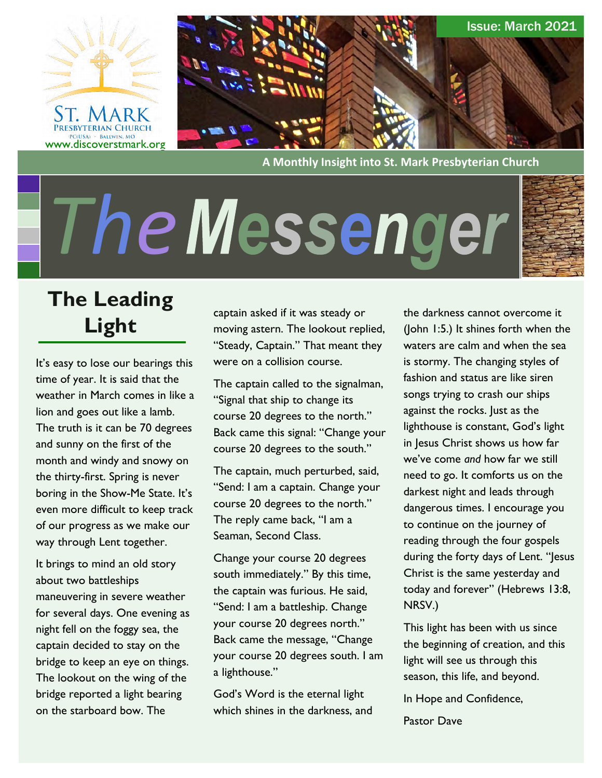



**A Monthly Insight into St. Mark Presbyterian Church**

# *The*



# **The Leading Light**

It's easy to lose our bearings this time of year. It is said that the weather in March comes in like a lion and goes out like a lamb. The truth is it can be 70 degrees and sunny on the first of the month and windy and snowy on the thirty-first. Spring is never boring in the Show-Me State. It's even more difficult to keep track of our progress as we make our way through Lent together.

It brings to mind an old story about two battleships maneuvering in severe weather for several days. One evening as night fell on the foggy sea, the captain decided to stay on the bridge to keep an eye on things. The lookout on the wing of the bridge reported a light bearing on the starboard bow. The

captain asked if it was steady or moving astern. The lookout replied, "Steady, Captain." That meant they were on a collision course.

The captain called to the signalman, "Signal that ship to change its course 20 degrees to the north." Back came this signal: "Change your course 20 degrees to the south."

The captain, much perturbed, said, "Send: I am a captain. Change your course 20 degrees to the north." The reply came back, "I am a Seaman, Second Class.

Change your course 20 degrees south immediately." By this time, the captain was furious. He said, "Send: I am a battleship. Change your course 20 degrees north." Back came the message, "Change your course 20 degrees south. I am a lighthouse."

God's Word is the eternal light which shines in the darkness, and

the darkness cannot overcome it (John 1:5.) It shines forth when the waters are calm and when the sea is stormy. The changing styles of fashion and status are like siren songs trying to crash our ships against the rocks. Just as the lighthouse is constant, God's light in Jesus Christ shows us how far we've come *and* how far we still need to go. It comforts us on the darkest night and leads through dangerous times. I encourage you to continue on the journey of reading through the four gospels during the forty days of Lent. "Jesus Christ is the same yesterday and today and forever" (Hebrews 13:8, NRSV.)

This light has been with us since the beginning of creation, and this light will see us through this season, this life, and beyond.

In Hope and Confidence,

Pastor Dave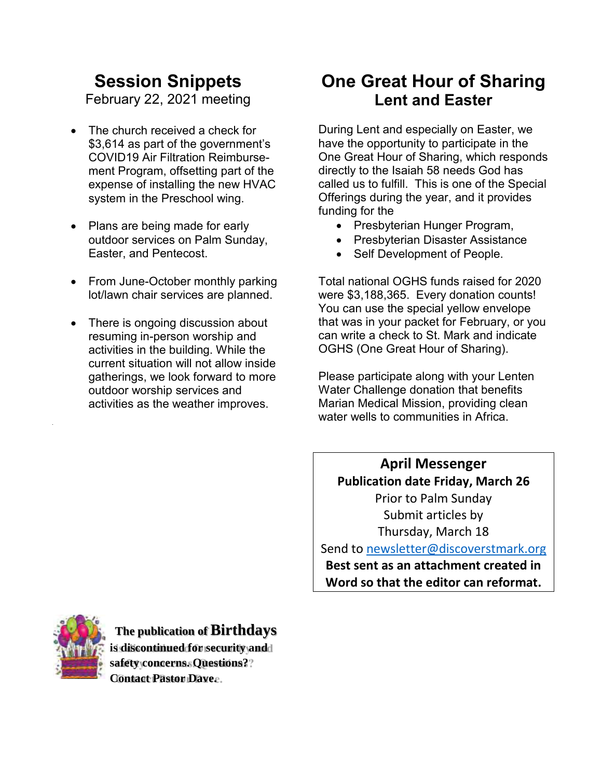# **Session Snippets**

February 22, 2021 meeting

- The church received a check for \$3,614 as part of the government's COVID19 Air Filtration Reimbursement Program, offsetting part of the expense of installing the new HVAC system in the Preschool wing.
- Plans are being made for early outdoor services on Palm Sunday, Easter, and Pentecost.
- From June-October monthly parking lot/lawn chair services are planned.
- There is ongoing discussion about resuming in-person worship and activities in the building. While the current situation will not allow inside gatherings, we look forward to more outdoor worship services and activities as the weather improves.

# **One Great Hour of Sharing Lent and Easter**

During Lent and especially on Easter, we have the opportunity to participate in the One Great Hour of Sharing, which responds directly to the Isaiah 58 needs God has called us to fulfill. This is one of the Special Offerings during the year, and it provides funding for the

- Presbyterian Hunger Program,
- Presbyterian Disaster Assistance
- Self Development of People.

Total national OGHS funds raised for 2020 were \$3,188,365. Every donation counts! You can use the special yellow envelope that was in your packet for February, or you can write a check to St. Mark and indicate OGHS (One Great Hour of Sharing).

Please participate along with your Lenten Water Challenge donation that benefits Marian Medical Mission, providing clean water wells to communities in Africa.

**April Messenger Publication date Friday, March 26** Prior to Palm Sunday Submit articles by Thursday, March 18

Send to [newsletter@discoverstmark.org](mailto:newsletter@discoverstmark.org) **Best sent as an attachment created in Word so that the editor can reformat.**



**The publication of Birthdays is discontinued for security and safety concerns. Questions? Contact Pastor Dave.**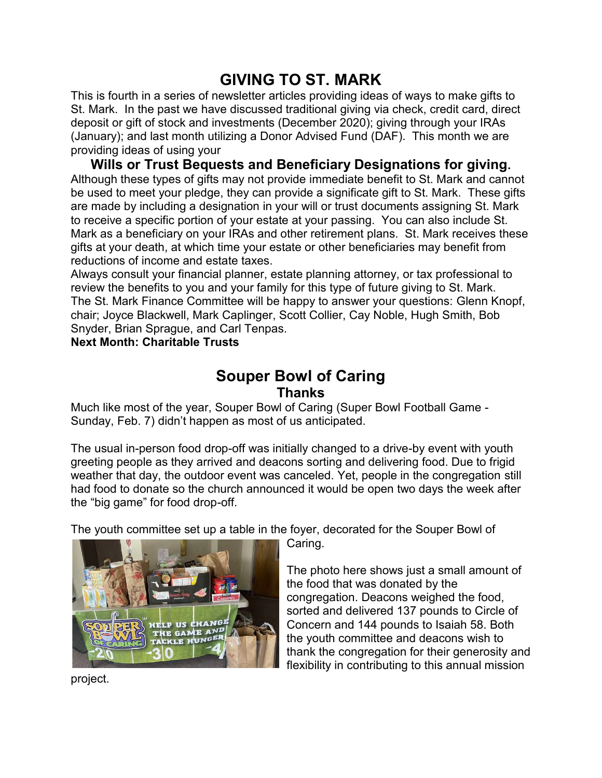# **GIVING TO ST. MARK**

This is fourth in a series of newsletter articles providing ideas of ways to make gifts to St. Mark. In the past we have discussed traditional giving via check, credit card, direct deposit or gift of stock and investments (December 2020); giving through your IRAs (January); and last month utilizing a Donor Advised Fund (DAF). This month we are providing ideas of using your

**Wills or Trust Bequests and Beneficiary Designations for giving.** Although these types of gifts may not provide immediate benefit to St. Mark and cannot be used to meet your pledge, they can provide a significate gift to St. Mark. These gifts are made by including a designation in your will or trust documents assigning St. Mark to receive a specific portion of your estate at your passing. You can also include St. Mark as a beneficiary on your IRAs and other retirement plans. St. Mark receives these gifts at your death, at which time your estate or other beneficiaries may benefit from reductions of income and estate taxes.

Always consult your financial planner, estate planning attorney, or tax professional to review the benefits to you and your family for this type of future giving to St. Mark. The St. Mark Finance Committee will be happy to answer your questions: Glenn Knopf, chair; Joyce Blackwell, Mark Caplinger, Scott Collier, Cay Noble, Hugh Smith, Bob Snyder, Brian Sprague, and Carl Tenpas.

**Next Month: Charitable Trusts**

## **Souper Bowl of Caring Thanks**

Much like most of the year, Souper Bowl of Caring (Super Bowl Football Game - Sunday, Feb. 7) didn't happen as most of us anticipated.

The usual in-person food drop-off was initially changed to a drive-by event with youth greeting people as they arrived and deacons sorting and delivering food. Due to frigid weather that day, the outdoor event was canceled. Yet, people in the congregation still had food to donate so the church announced it would be open two days the week after the "big game" for food drop-off.

The youth committee set up a table in the foyer, decorated for the Souper Bowl of



Caring.

The photo here shows just a small amount of the food that was donated by the congregation. Deacons weighed the food, sorted and delivered 137 pounds to Circle of Concern and 144 pounds to Isaiah 58. Both the youth committee and deacons wish to thank the congregation for their generosity and flexibility in contributing to this annual mission

project.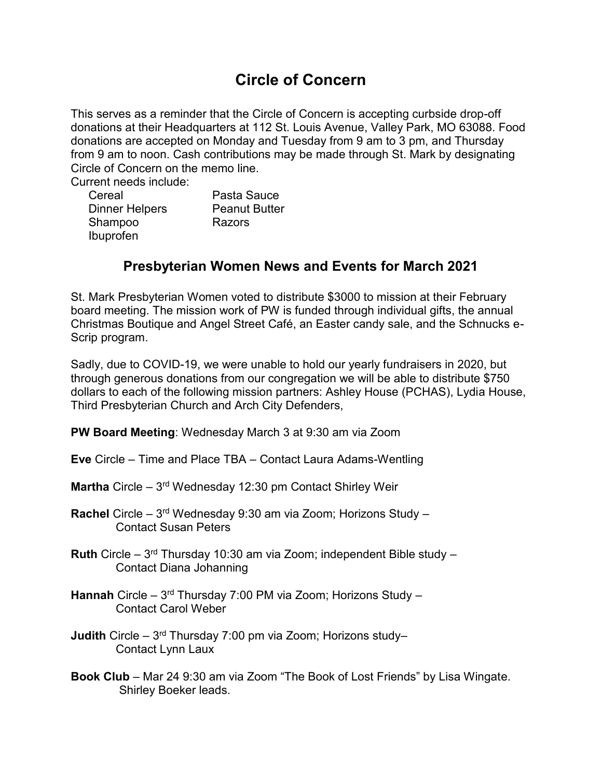# **Circle of Concern**

This serves as a reminder that the Circle of Concern is accepting curbside drop-off donations at their Headquarters at 112 St. Louis Avenue, Valley Park, MO 63088. Food donations are accepted on Monday and Tuesday from 9 am to 3 pm, and Thursday from 9 am to noon. Cash contributions may be made through St. Mark by designating Circle of Concern on the memo line.

Current needs include:

| Cereal                | Pasta Sauce          |
|-----------------------|----------------------|
| <b>Dinner Helpers</b> | <b>Peanut Butter</b> |
| Shampoo               | Razors               |
| Ibuprofen             |                      |

## **Presbyterian Women News and Events for March 2021**

St. Mark Presbyterian Women voted to distribute \$3000 to mission at their February board meeting. The mission work of PW is funded through individual gifts, the annual Christmas Boutique and Angel Street Café, an Easter candy sale, and the Schnucks e-Scrip program.

Sadly, due to COVID-19, we were unable to hold our yearly fundraisers in 2020, but through generous donations from our congregation we will be able to distribute \$750 dollars to each of the following mission partners: Ashley House (PCHAS), Lydia House, Third Presbyterian Church and Arch City Defenders,

**PW Board Meeting**: Wednesday March 3 at 9:30 am via Zoom

- **Eve** Circle Time and Place TBA Contact Laura Adams-Wentling
- **Martha** Circle 3<sup>rd</sup> Wednesday 12:30 pm Contact Shirley Weir
- **Rachel** Circle 3rd Wednesday 9:30 am via Zoom; Horizons Study Contact Susan Peters
- **Ruth** Circle 3rd Thursday 10:30 am via Zoom; independent Bible study Contact Diana Johanning
- **Hannah** Circle 3rd Thursday 7:00 PM via Zoom; Horizons Study Contact Carol Weber
- **Judith** Circle 3rd Thursday 7:00 pm via Zoom; Horizons study– Contact Lynn Laux
- **Book Club** Mar 24 9:30 am via Zoom "The Book of Lost Friends" by Lisa Wingate. Shirley Boeker leads.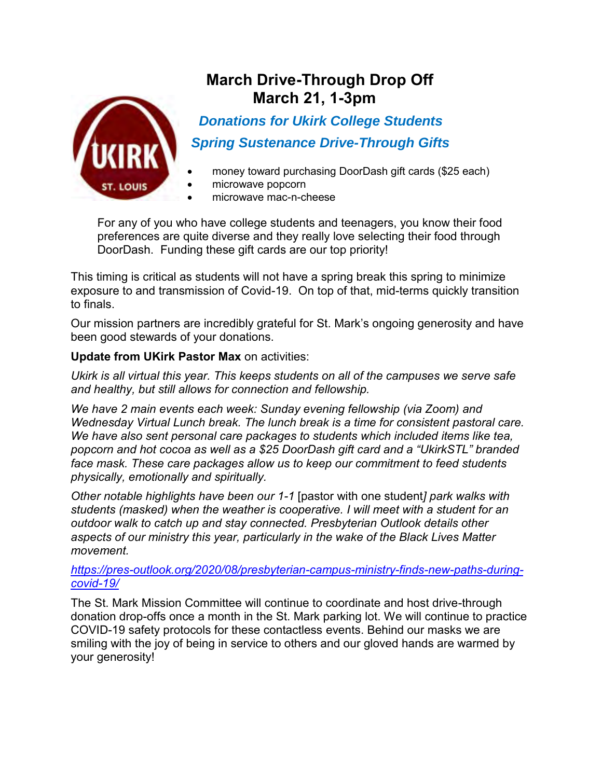

# **March Drive-Through Drop Off March 21, 1-3pm**

 *Donations for Ukirk College Students Spring Sustenance Drive-Through Gifts* 

- money toward purchasing DoorDash gift cards (\$25 each)
- microwave popcorn
- microwave mac-n-cheese

For any of you who have college students and teenagers, you know their food preferences are quite diverse and they really love selecting their food through DoorDash. Funding these gift cards are our top priority!

This timing is critical as students will not have a spring break this spring to minimize exposure to and transmission of Covid-19. On top of that, mid-terms quickly transition to finals.

Our mission partners are incredibly grateful for St. Mark's ongoing generosity and have been good stewards of your donations.

#### **Update from UKirk Pastor Max** on activities:

*Ukirk is all virtual this year. This keeps students on all of the campuses we serve safe and healthy, but still allows for connection and fellowship.*

*We have 2 main events each week: Sunday evening fellowship (via Zoom) and Wednesday Virtual Lunch break. The lunch break is a time for consistent pastoral care. We have also sent personal care packages to students which included items like tea, popcorn and hot cocoa as well as a \$25 DoorDash gift card and a "UkirkSTL" branded face mask. These care packages allow us to keep our commitment to feed students physically, emotionally and spiritually.*

*Other notable highlights have been our 1-1* [pastor with one student*] park walks with students (masked) when the weather is cooperative. I will meet with a student for an outdoor walk to catch up and stay connected. Presbyterian Outlook details other aspects of our ministry this year, particularly in the wake of the Black Lives Matter movement.*

*[https://pres-outlook.org/2020/08/presbyterian-campus-ministry-finds-new-paths-during](https://pres-outlook.org/2020/08/presbyterian-campus-ministry-finds-new-paths-during-covid-19/)[covid-19/](https://pres-outlook.org/2020/08/presbyterian-campus-ministry-finds-new-paths-during-covid-19/)*

The St. Mark Mission Committee will continue to coordinate and host drive-through donation drop-offs once a month in the St. Mark parking lot. We will continue to practice COVID-19 safety protocols for these contactless events. Behind our masks we are smiling with the joy of being in service to others and our gloved hands are warmed by your generosity!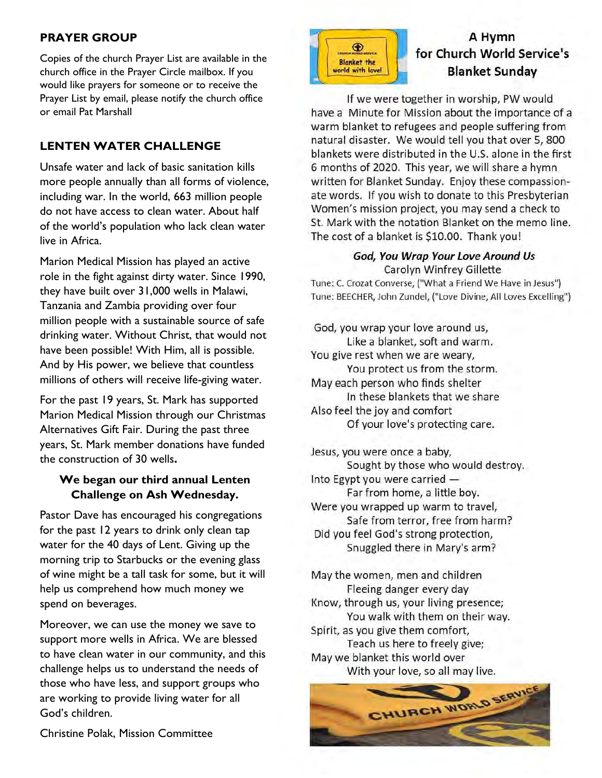#### **PRAYER GROUP**

Copies of the church Prayer List are available in the church office in the Prayer Circle mailbox. If you would like prayers for someone or to receive the Prayer List by email, please notify the church office or email Pat Marshall

#### **LENTEN WATER CHALLENGE**

Unsafe water and lack of basic sanitation kills more people annually than all forms of violence, including war. In the world, 663 million people do not have access to clean water. About half of the world's population who lack clean water live in Africa.

Marion Medical Mission has played an active role in the fight against dirty water. Since 1990, they have built over 31,000 wells in Malawi, Tanzania and Zambia providing over four million people with a sustainable source of safe drinking water. Without Christ, that would not have been possible! With Him, all is possible. And by His power, we believe that countless millions of others will receive life-giving water.

For the past 19 years, St. Mark has supported Marion Medical Mission through our Christmas Alternatives Gift Fair. During the past three years, St. Mark member donations have funded the construction of 30 wells**.** 

#### **We began our third annual Lenten Challenge on Ash Wednesday.**

Pastor Dave has encouraged his congregations for the past 12 years to drink only clean tap water for the 40 days of Lent. Giving up the morning trip to Starbucks or the evening glass of wine might be a tall task for some, but it will help us comprehend how much money we spend on beverages.

Moreover, we can use the money we save to support more wells in Africa. We are blessed to have clean water in our community, and this challenge helps us to understand the needs of those who have less, and support groups who are working to provide living water for all God's children.



## A Hymn for Church World Service's **Blanket Sunday**

If we were together in worship, PW would have a Minute for Mission about the importance of a warm blanket to refugees and people suffering from natural disaster. We would tell you that over 5, 800 blankets were distributed in the U.S. alone in the first 6 months of 2020. This year, we will share a hymn written for Blanket Sunday. Enjoy these compassionate words. If you wish to donate to this Presbyterian Women's mission project, you may send a check to St. Mark with the notation Blanket on the memo line. The cost of a blanket is \$10.00. Thank you!

#### God, You Wrap Your Love Around Us Carolyn Winfrey Gillette

Tune: C. Crozat Converse, ("What a Friend We Have in Jesus") Tune: BEECHER, John Zundel, ("Love Divine, All Loves Excelling")

God, you wrap your love around us, Like a blanket, soft and warm. You give rest when we are weary, You protect us from the storm. May each person who finds shelter In these blankets that we share Also feel the joy and comfort Of your love's protecting care.

Jesus, you were once a baby, Sought by those who would destroy. Into Egypt you were carried -Far from home, a little boy. Were you wrapped up warm to travel, Safe from terror, free from harm? Did you feel God's strong protection, Snuggled there in Mary's arm?

May the women, men and children Fleeing danger every day Know, through us, your living presence; You walk with them on their way. Spirit, as you give them comfort, Teach us here to freely give; May we blanket this world over With your love, so all may live.



Christine Polak, Mission Committee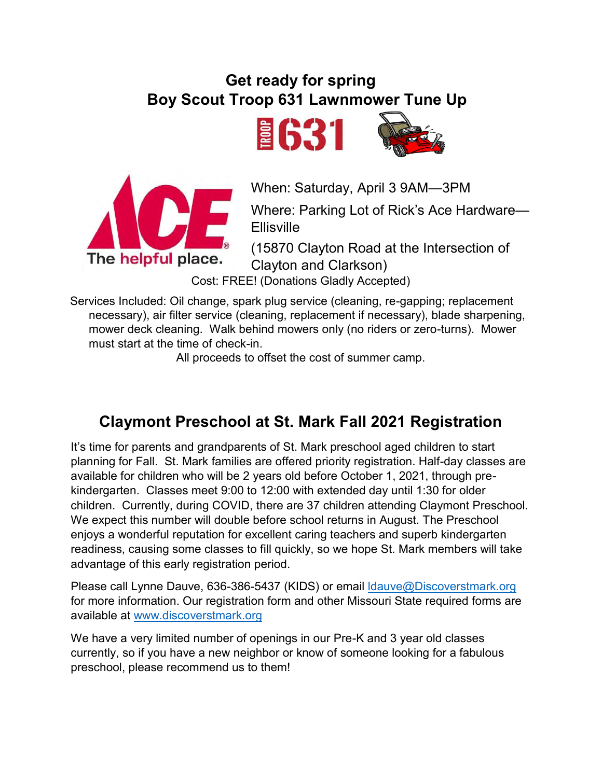# **Get ready for spring Boy Scout Troop 631 Lawnmower Tune Up**





When: Saturday, April 3 9AM—3PM

Where: Parking Lot of Rick's Ace Hardware— **Ellisville** 

(15870 Clayton Road at the Intersection of Clayton and Clarkson)

Cost: FREE! (Donations Gladly Accepted)

Services Included: Oil change, spark plug service (cleaning, re-gapping; replacement necessary), air filter service (cleaning, replacement if necessary), blade sharpening, mower deck cleaning. Walk behind mowers only (no riders or zero-turns). Mower must start at the time of check-in.

All proceeds to offset the cost of summer camp.

# **Claymont Preschool at St. Mark Fall 2021 Registration**

It's time for parents and grandparents of St. Mark preschool aged children to start planning for Fall. St. Mark families are offered priority registration. Half-day classes are available for children who will be 2 years old before October 1, 2021, through prekindergarten. Classes meet 9:00 to 12:00 with extended day until 1:30 for older children. Currently, during COVID, there are 37 children attending Claymont Preschool. We expect this number will double before school returns in August. The Preschool enjoys a wonderful reputation for excellent caring teachers and superb kindergarten readiness, causing some classes to fill quickly, so we hope St. Mark members will take advantage of this early registration period.

Please call Lynne Dauve, 636-386-5437 (KIDS) or email Idauve@Discoverstmark.org for more information. Our registration form and other Missouri State required forms are available at [www.discoverstmark.org](http://www.discoverstmark.org/)

We have a very limited number of openings in our Pre-K and 3 year old classes currently, so if you have a new neighbor or know of someone looking for a fabulous preschool, please recommend us to them!